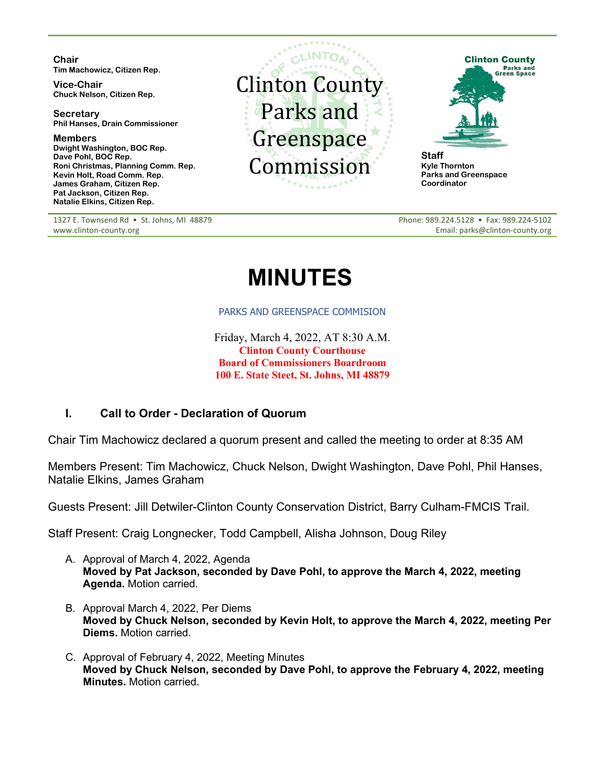**Chair Tim Machowicz, Citizen Rep.**

**Vice-Chair Chuck Nelson, Citizen Rep.**

**Secretary Phil Hanses, Drain Commissioner**

**Members Dwight Washington, BOC Rep. Dave Pohl, BOC Rep. Roni Christmas, Planning Comm. Rep. Kevin Holt, Road Comm. Rep. James Graham, Citizen Rep. Pat Jackson, Citizen Rep. Natalie Elkins, Citizen Rep.**

1327 E. Townsend Rd · St. Johns, MI 48879 www.clinton-county.org





**Kyle Thornton Parks and Greenspace Coordinator**

Phone: 989.224.5128 • Fax: 989.224-5102 Email: parks@clinton-county.org

# **MINUTES**

#### PARKS AND GREENSPACE COMMISION

Friday, March 4, 2022, AT 8:30 A.M. **Clinton County Courthouse Board of Commissioners Boardroom 100 E. State Steet, St. Johns, MI 48879**

## **I. Call to Order - Declaration of Quorum**

Chair Tim Machowicz declared a quorum present and called the meeting to order at 8:35 AM

Members Present: Tim Machowicz, Chuck Nelson, Dwight Washington, Dave Pohl, Phil Hanses, Natalie Elkins, James Graham

Guests Present: Jill Detwiler-Clinton County Conservation District, Barry Culham-FMCIS Trail.

Staff Present: Craig Longnecker, Todd Campbell, Alisha Johnson, Doug Riley

- A. Approval of March 4, 2022, Agenda **Moved by Pat Jackson, seconded by Dave Pohl, to approve the March 4, 2022, meeting Agenda.** Motion carried.
- B. Approval March 4, 2022, Per Diems **Moved by Chuck Nelson, seconded by Kevin Holt, to approve the March 4, 2022, meeting Per Diems.** Motion carried.
- C. Approval of February 4, 2022, Meeting Minutes **Moved by Chuck Nelson, seconded by Dave Pohl, to approve the February 4, 2022, meeting Minutes.** Motion carried.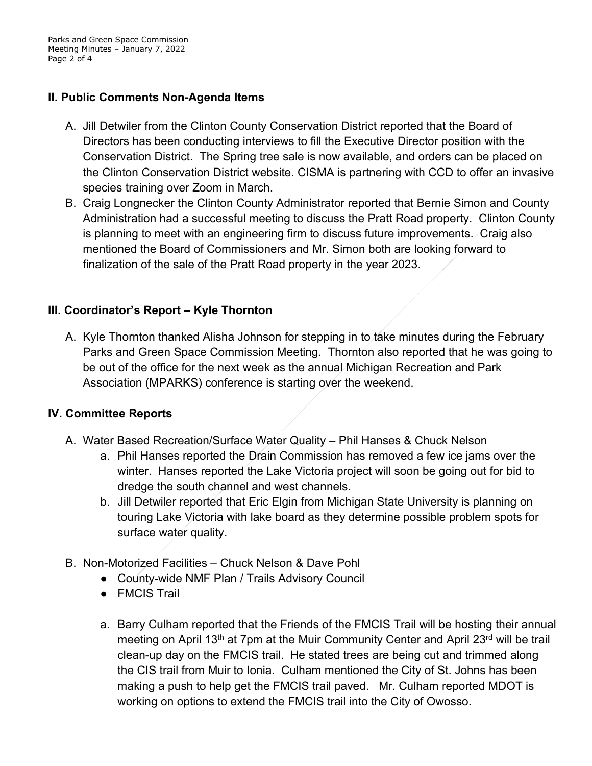Parks and Green Space Commission Meeting Minutes – January 7, 2022 Page 2 of 4

## **II. Public Comments Non-Agenda Items**

- A. Jill Detwiler from the Clinton County Conservation District reported that the Board of Directors has been conducting interviews to fill the Executive Director position with the Conservation District. The Spring tree sale is now available, and orders can be placed on the Clinton Conservation District website. CISMA is partnering with CCD to offer an invasive species training over Zoom in March.
- B. Craig Longnecker the Clinton County Administrator reported that Bernie Simon and County Administration had a successful meeting to discuss the Pratt Road property. Clinton County is planning to meet with an engineering firm to discuss future improvements. Craig also mentioned the Board of Commissioners and Mr. Simon both are looking forward to finalization of the sale of the Pratt Road property in the year 2023.

## **III. Coordinator's Report – Kyle Thornton**

A. Kyle Thornton thanked Alisha Johnson for stepping in to take minutes during the February Parks and Green Space Commission Meeting. Thornton also reported that he was going to be out of the office for the next week as the annual Michigan Recreation and Park Association (MPARKS) conference is starting over the weekend.

### **IV. Committee Reports**

- A. Water Based Recreation/Surface Water Quality Phil Hanses & Chuck Nelson
	- a. Phil Hanses reported the Drain Commission has removed a few ice jams over the winter. Hanses reported the Lake Victoria project will soon be going out for bid to dredge the south channel and west channels.
	- b. Jill Detwiler reported that Eric Elgin from Michigan State University is planning on touring Lake Victoria with lake board as they determine possible problem spots for surface water quality.
- B. Non-Motorized Facilities Chuck Nelson & Dave Pohl
	- County-wide NMF Plan / Trails Advisory Council
	- FMCIS Trail
	- a. Barry Culham reported that the Friends of the FMCIS Trail will be hosting their annual meeting on April 13<sup>th</sup> at 7pm at the Muir Community Center and April 23<sup>rd</sup> will be trail clean-up day on the FMCIS trail. He stated trees are being cut and trimmed along the CIS trail from Muir to Ionia. Culham mentioned the City of St. Johns has been making a push to help get the FMCIS trail paved. Mr. Culham reported MDOT is working on options to extend the FMCIS trail into the City of Owosso.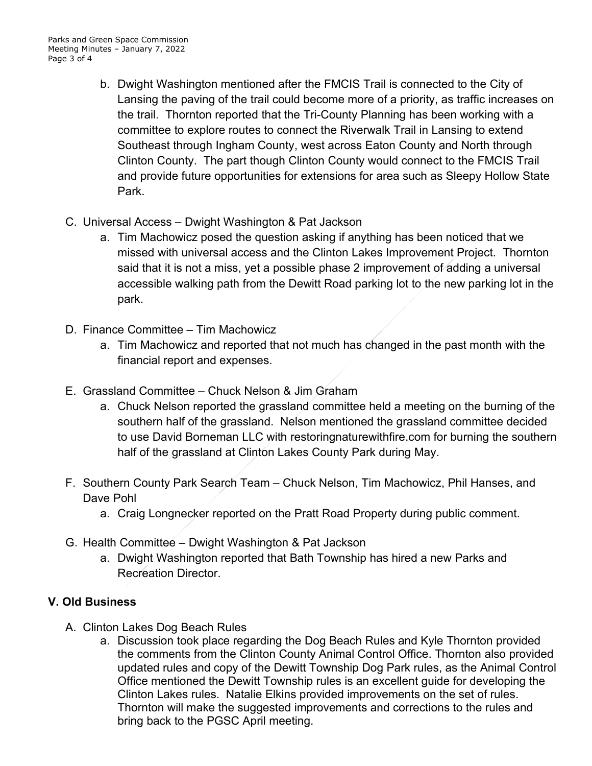- b. Dwight Washington mentioned after the FMCIS Trail is connected to the City of Lansing the paving of the trail could become more of a priority, as traffic increases on the trail. Thornton reported that the Tri-County Planning has been working with a committee to explore routes to connect the Riverwalk Trail in Lansing to extend Southeast through Ingham County, west across Eaton County and North through Clinton County. The part though Clinton County would connect to the FMCIS Trail and provide future opportunities for extensions for area such as Sleepy Hollow State Park.
- C. Universal Access Dwight Washington & Pat Jackson
	- a. Tim Machowicz posed the question asking if anything has been noticed that we missed with universal access and the Clinton Lakes Improvement Project. Thornton said that it is not a miss, yet a possible phase 2 improvement of adding a universal accessible walking path from the Dewitt Road parking lot to the new parking lot in the park.
- D. Finance Committee Tim Machowicz
	- a. Tim Machowicz and reported that not much has changed in the past month with the financial report and expenses.
- E. Grassland Committee Chuck Nelson & Jim Graham
	- a. Chuck Nelson reported the grassland committee held a meeting on the burning of the southern half of the grassland. Nelson mentioned the grassland committee decided to use David Borneman LLC with restoringnaturewithfire.com for burning the southern half of the grassland at Clinton Lakes County Park during May.
- F. Southern County Park Search Team Chuck Nelson, Tim Machowicz, Phil Hanses, and Dave Pohl
	- a. Craig Longnecker reported on the Pratt Road Property during public comment.
- G. Health Committee Dwight Washington & Pat Jackson
	- a. Dwight Washington reported that Bath Township has hired a new Parks and Recreation Director.

## **V. Old Business**

- A. Clinton Lakes Dog Beach Rules
	- a. Discussion took place regarding the Dog Beach Rules and Kyle Thornton provided the comments from the Clinton County Animal Control Office. Thornton also provided updated rules and copy of the Dewitt Township Dog Park rules, as the Animal Control Office mentioned the Dewitt Township rules is an excellent guide for developing the Clinton Lakes rules. Natalie Elkins provided improvements on the set of rules. Thornton will make the suggested improvements and corrections to the rules and bring back to the PGSC April meeting.